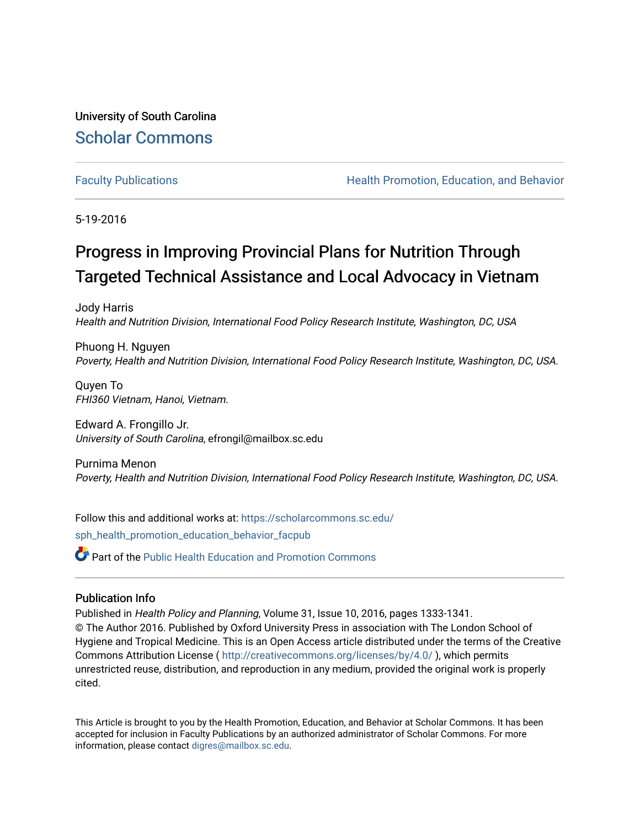University of South Carolina [Scholar Commons](https://scholarcommons.sc.edu/) 

[Faculty Publications](https://scholarcommons.sc.edu/sph_health_promotion_education_behavior_facpub) **Health Promotion, Education, and Behavior** Health Promotion, Education, and Behavior

5-19-2016

# Progress in Improving Provincial Plans for Nutrition Through Targeted Technical Assistance and Local Advocacy in Vietnam

Jody Harris Health and Nutrition Division, International Food Policy Research Institute, Washington, DC, USA

Phuong H. Nguyen Poverty, Health and Nutrition Division, International Food Policy Research Institute, Washington, DC, USA.

Quyen To FHI360 Vietnam, Hanoi, Vietnam.

Edward A. Frongillo Jr. University of South Carolina, efrongil@mailbox.sc.edu

Purnima Menon Poverty, Health and Nutrition Division, International Food Policy Research Institute, Washington, DC, USA.

Follow this and additional works at: [https://scholarcommons.sc.edu/](https://scholarcommons.sc.edu/sph_health_promotion_education_behavior_facpub?utm_source=scholarcommons.sc.edu%2Fsph_health_promotion_education_behavior_facpub%2F332&utm_medium=PDF&utm_campaign=PDFCoverPages)

[sph\\_health\\_promotion\\_education\\_behavior\\_facpub](https://scholarcommons.sc.edu/sph_health_promotion_education_behavior_facpub?utm_source=scholarcommons.sc.edu%2Fsph_health_promotion_education_behavior_facpub%2F332&utm_medium=PDF&utm_campaign=PDFCoverPages)

 $\bullet$  Part of the Public Health Education and Promotion Commons

# Publication Info

Published in Health Policy and Planning, Volume 31, Issue 10, 2016, pages 1333-1341. © The Author 2016. Published by Oxford University Press in association with The London School of Hygiene and Tropical Medicine. This is an Open Access article distributed under the terms of the Creative Commons Attribution License ( <http://creativecommons.org/licenses/by/4.0/> ), which permits unrestricted reuse, distribution, and reproduction in any medium, provided the original work is properly cited.

This Article is brought to you by the Health Promotion, Education, and Behavior at Scholar Commons. It has been accepted for inclusion in Faculty Publications by an authorized administrator of Scholar Commons. For more information, please contact [digres@mailbox.sc.edu.](mailto:digres@mailbox.sc.edu)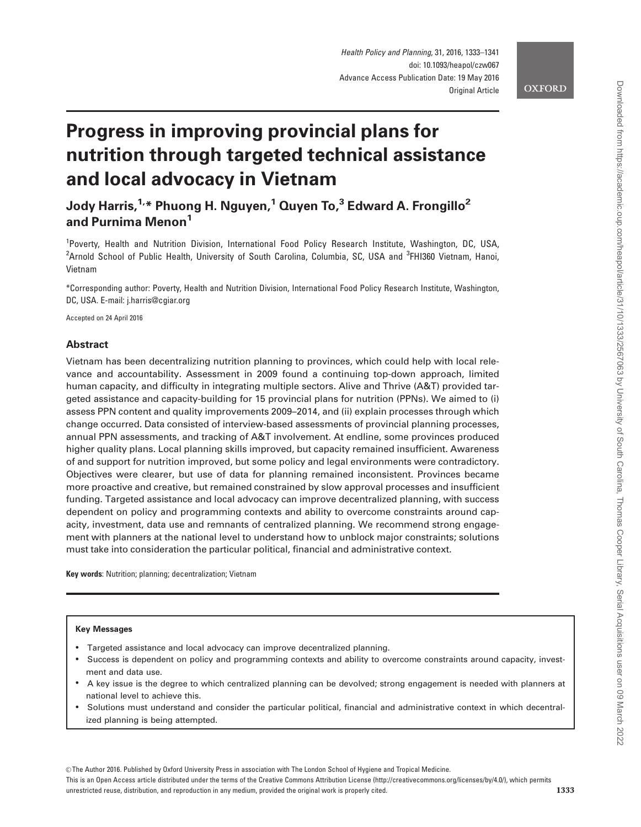# Progress in improving provincial plans for nutrition through targeted technical assistance and local advocacy in Vietnam

Jody Harris,<sup>1,\*</sup> Phuong H. Nguyen,<sup>1</sup> Quyen To,<sup>3</sup> Edward A. Frongillo<sup>2</sup> and Purnima Menon<sup>1</sup>

<sup>1</sup>Poverty, Health and Nutrition Division, International Food Policy Research Institute, Washington, DC, USA, <sup>2</sup>Arnold School of Public Health, University of South Carolina, Columbia, SC, USA and <sup>3</sup>FHI360 Vietnam, Hanoi, Vietnam

\*Corresponding author: Poverty, Health and Nutrition Division, International Food Policy Research Institute, Washington, DC, USA. E-mail: i.harris@cgiar.org

Accepted on 24 April 2016

# Abstract

Vietnam has been decentralizing nutrition planning to provinces, which could help with local relevance and accountability. Assessment in 2009 found a continuing top-down approach, limited human capacity, and difficulty in integrating multiple sectors. Alive and Thrive (A&T) provided targeted assistance and capacity-building for 15 provincial plans for nutrition (PPNs). We aimed to (i) assess PPN content and quality improvements 2009–2014, and (ii) explain processes through which change occurred. Data consisted of interview-based assessments of provincial planning processes, annual PPN assessments, and tracking of A&T involvement. At endline, some provinces produced higher quality plans. Local planning skills improved, but capacity remained insufficient. Awareness of and support for nutrition improved, but some policy and legal environments were contradictory. Objectives were clearer, but use of data for planning remained inconsistent. Provinces became more proactive and creative, but remained constrained by slow approval processes and insufficient funding. Targeted assistance and local advocacy can improve decentralized planning, with success dependent on policy and programming contexts and ability to overcome constraints around capacity, investment, data use and remnants of centralized planning. We recommend strong engagement with planners at the national level to understand how to unblock major constraints; solutions must take into consideration the particular political, financial and administrative context.

Key words: Nutrition; planning; decentralization; Vietnam

### Key Messages

- Targeted assistance and local advocacy can improve decentralized planning.
- Success is dependent on policy and programming contexts and ability to overcome constraints around capacity, investment and data use.
- A key issue is the degree to which centralized planning can be devolved; strong engagement is needed with planners at national level to achieve this.
- Solutions must understand and consider the particular political, financial and administrative context in which decentralized planning is being attempted.

 $\degree$ The Author 2016. Published by Oxford University Press in association with The London School of Hygiene and Tropical Medicine.

This is an Open Access article distributed under the terms of the Creative Commons Attribution License (http://creativecommons.org/licenses/by/4.0/), which permits unrestricted reuse, distribution, and reproduction in any medium, provided the original work is properly cited. 1333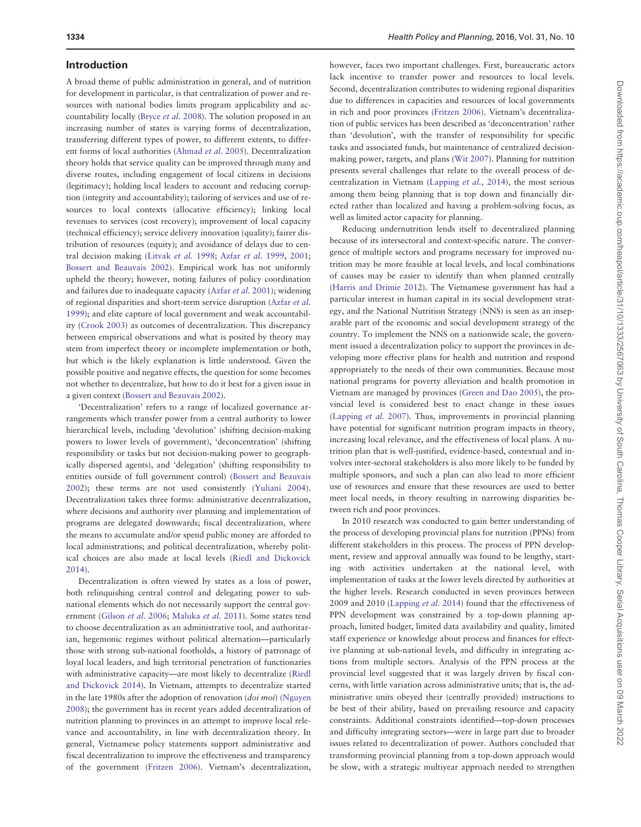## Introduction

A broad theme of public administration in general, and of nutrition for development in particular, is that centralization of power and resources with national bodies limits program applicability and accountability locally [\(Bryce](#page-9-0) et al. 2008). The solution proposed in an increasing number of states is varying forms of decentralization, transferring different types of power, to different extents, to different forms of local authorities [\(Ahmad](#page-9-0) et al. 2005). Decentralization theory holds that service quality can be improved through many and diverse routes, including engagement of local citizens in decisions (legitimacy); holding local leaders to account and reducing corruption (integrity and accountability); tailoring of services and use of resources to local contexts (allocative efficiency); linking local revenues to services (cost recovery); improvement of local capacity (technical efficiency); service delivery innovation (quality); fairer distribution of resources (equity); and avoidance of delays due to central decision making [\(Litvak](#page-9-0) et al. 1998; [Azfar](#page-9-0) et al. 1999, [2001;](#page-9-0) [Bossert and Beauvais 2002\)](#page-9-0). Empirical work has not uniformly upheld the theory; however, noting failures of policy coordination and failures due to inadequate capacity [\(Azfar](#page-9-0) et al. 2001); widening of regional disparities and short-term service disruption ([Azfar](#page-9-0) et al. [1999\)](#page-9-0); and elite capture of local government and weak accountability [\(Crook 2003\)](#page-9-0) as outcomes of decentralization. This discrepancy between empirical observations and what is posited by theory may stem from imperfect theory or incomplete implementation or both, but which is the likely explanation is little understood. Given the possible positive and negative effects, the question for some becomes not whether to decentralize, but how to do it best for a given issue in a given context ([Bossert and Beauvais 2002\)](#page-9-0).

'Decentralization' refers to a range of localized governance arrangements which transfer power from a central authority to lower hierarchical levels, including 'devolution' (shifting decision-making powers to lower levels of government), 'deconcentration' (shifting responsibility or tasks but not decision-making power to geographically dispersed agents), and 'delegation' (shifting responsibility to entities outside of full government control) ([Bossert and Beauvais](#page-9-0) [2002\)](#page-9-0); these terms are not used consistently [\(Yuliani 2004](#page-9-0)). Decentralization takes three forms: administrative decentralization, where decisions and authority over planning and implementation of programs are delegated downwards; fiscal decentralization, where the means to accumulate and/or spend public money are afforded to local administrations; and political decentralization, whereby political choices are also made at local levels [\(Riedl and Dickovick](#page-9-0) [2014\)](#page-9-0).

Decentralization is often viewed by states as a loss of power, both relinquishing central control and delegating power to subnational elements which do not necessarily support the central government ([Gilson](#page-9-0) et al. 2006; [Maluka](#page-9-0) et al. 2011). Some states tend to choose decentralization as an administrative tool, and authoritarian, hegemonic regimes without political alternation—particularly those with strong sub-national footholds, a history of patronage of loyal local leaders, and high territorial penetration of functionaries with administrative capacity—are most likely to decentralize ([Riedl](#page-9-0) [and Dickovick 2014\)](#page-9-0). In Vietnam, attempts to decentralize started in the late 1980s after the adoption of renovation (doi moi) [\(Nguyen](#page-9-0) [2008\)](#page-9-0); the government has in recent years added decentralization of nutrition planning to provinces in an attempt to improve local relevance and accountability, in line with decentralization theory. In general, Vietnamese policy statements support administrative and fiscal decentralization to improve the effectiveness and transparency of the government ([Fritzen 2006\)](#page-9-0). Vietnam's decentralization,

however, faces two important challenges. First, bureaucratic actors lack incentive to transfer power and resources to local levels. Second, decentralization contributes to widening regional disparities due to differences in capacities and resources of local governments in rich and poor provinces ([Fritzen 2006\)](#page-9-0). Vietnam's decentralization of public services has been described as 'deconcentration' rather than 'devolution', with the transfer of responsibility for specific tasks and associated funds, but maintenance of centralized decisionmaking power, targets, and plans [\(Wit 2007](#page-9-0)). Planning for nutrition presents several challenges that relate to the overall process of decentralization in Vietnam ([Lapping](#page-9-0) et al., 2014), the most serious among them being planning that is top down and financially directed rather than localized and having a problem-solving focus, as well as limited actor capacity for planning.

Reducing undernutrition lends itself to decentralized planning because of its intersectoral and context-specific nature. The convergence of multiple sectors and programs necessary for improved nutrition may be more feasible at local levels, and local combinations of causes may be easier to identify than when planned centrally ([Harris and Drimie 2012\)](#page-9-0). The Vietnamese government has had a particular interest in human capital in its social development strategy, and the National Nutrition Strategy (NNS) is seen as an inseparable part of the economic and social development strategy of the country. To implement the NNS on a nationwide scale, the government issued a decentralization policy to support the provinces in developing more effective plans for health and nutrition and respond appropriately to the needs of their own communities. Because most national programs for poverty alleviation and health promotion in Vietnam are managed by provinces [\(Green and Dao 2005](#page-9-0)), the provincial level is considered best to enact change in these issues ([Lapping](#page-9-0) et al. 2007). Thus, improvements in provincial planning have potential for significant nutrition program impacts in theory, increasing local relevance, and the effectiveness of local plans. A nutrition plan that is well-justified, evidence-based, contextual and involves inter-sectoral stakeholders is also more likely to be funded by multiple sponsors, and such a plan can also lead to more efficient use of resources and ensure that these resources are used to better meet local needs, in theory resulting in narrowing disparities between rich and poor provinces.

In 2010 research was conducted to gain better understanding of the process of developing provincial plans for nutrition (PPNs) from different stakeholders in this process. The process of PPN development, review and approval annually was found to be lengthy, starting with activities undertaken at the national level, with implementation of tasks at the lower levels directed by authorities at the higher levels. Research conducted in seven provinces between 2009 and 2010 ([Lapping](#page-9-0) et al. 2014) found that the effectiveness of PPN development was constrained by a top-down planning approach, limited budget, limited data availability and quality, limited staff experience or knowledge about process and finances for effective planning at sub-national levels, and difficulty in integrating actions from multiple sectors. Analysis of the PPN process at the provincial level suggested that it was largely driven by fiscal concerns, with little variation across administrative units; that is, the administrative units obeyed their (centrally provided) instructions to be best of their ability, based on prevailing resource and capacity constraints. Additional constraints identified—top-down processes and difficulty integrating sectors—were in large part due to broader issues related to decentralization of power. Authors concluded that transforming provincial planning from a top-down approach would be slow, with a strategic multiyear approach needed to strengthen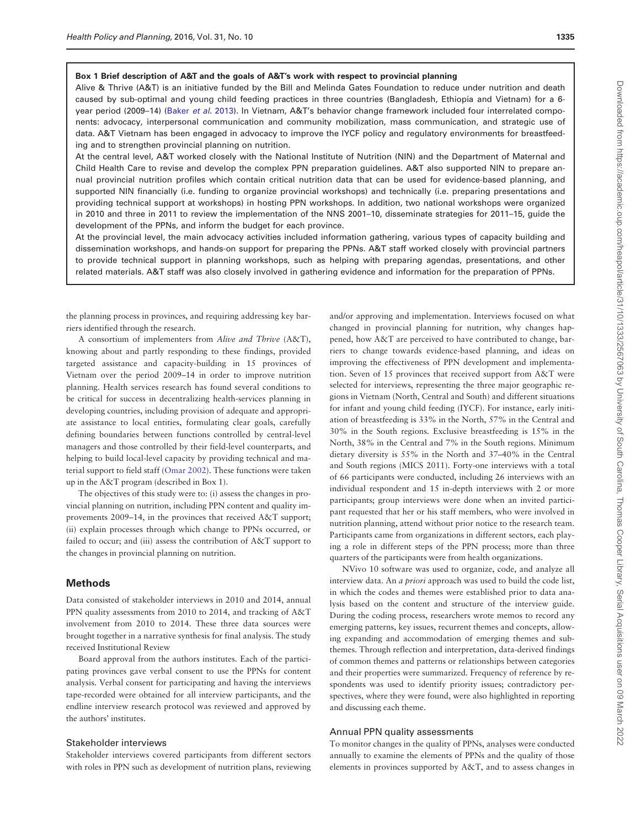#### Box 1 Brief description of A&T and the goals of A&T's work with respect to provincial planning

Alive & Thrive (A&T) is an initiative funded by the Bill and Melinda Gates Foundation to reduce under nutrition and death caused by sub-optimal and young child feeding practices in three countries (Bangladesh, Ethiopia and Vietnam) for a 6- year period (2009–14) ([Baker](#page-9-0) et al. 2013). In Vietnam, A&T's behavior change framework included four interrelated components: advocacy, interpersonal communication and community mobilization, mass communication, and strategic use of data. A&T Vietnam has been engaged in advocacy to improve the IYCF policy and regulatory environments for breastfeeding and to strengthen provincial planning on nutrition.

At the central level, A&T worked closely with the National Institute of Nutrition (NIN) and the Department of Maternal and Child Health Care to revise and develop the complex PPN preparation guidelines. A&T also supported NIN to prepare annual provincial nutrition profiles which contain critical nutrition data that can be used for evidence-based planning, and supported NIN financially (i.e. funding to organize provincial workshops) and technically (i.e. preparing presentations and providing technical support at workshops) in hosting PPN workshops. In addition, two national workshops were organized in 2010 and three in 2011 to review the implementation of the NNS 2001–10, disseminate strategies for 2011–15, guide the development of the PPNs, and inform the budget for each province.

At the provincial level, the main advocacy activities included information gathering, various types of capacity building and dissemination workshops, and hands-on support for preparing the PPNs. A&T staff worked closely with provincial partners to provide technical support in planning workshops, such as helping with preparing agendas, presentations, and other related materials. A&T staff was also closely involved in gathering evidence and information for the preparation of PPNs.

the planning process in provinces, and requiring addressing key barriers identified through the research.

A consortium of implementers from Alive and Thrive (A&T), knowing about and partly responding to these findings, provided targeted assistance and capacity-building in 15 provinces of Vietnam over the period 2009–14 in order to improve nutrition planning. Health services research has found several conditions to be critical for success in decentralizing health-services planning in developing countries, including provision of adequate and appropriate assistance to local entities, formulating clear goals, carefully defining boundaries between functions controlled by central-level managers and those controlled by their field-level counterparts, and helping to build local-level capacity by providing technical and material support to field staff [\(Omar 2002](#page-9-0)). These functions were taken up in the A&T program (described in Box 1).

The objectives of this study were to: (i) assess the changes in provincial planning on nutrition, including PPN content and quality improvements 2009–14, in the provinces that received A&T support; (ii) explain processes through which change to PPNs occurred, or failed to occur; and (iii) assess the contribution of A&T support to the changes in provincial planning on nutrition.

## Methods

Data consisted of stakeholder interviews in 2010 and 2014, annual PPN quality assessments from 2010 to 2014, and tracking of A&T involvement from 2010 to 2014. These three data sources were brought together in a narrative synthesis for final analysis. The study received Institutional Review

Board approval from the authors institutes. Each of the participating provinces gave verbal consent to use the PPNs for content analysis. Verbal consent for participating and having the interviews tape-recorded were obtained for all interview participants, and the endline interview research protocol was reviewed and approved by the authors' institutes.

### Stakeholder interviews

Stakeholder interviews covered participants from different sectors with roles in PPN such as development of nutrition plans, reviewing and/or approving and implementation. Interviews focused on what changed in provincial planning for nutrition, why changes happened, how A&T are perceived to have contributed to change, barriers to change towards evidence-based planning, and ideas on improving the effectiveness of PPN development and implementation. Seven of 15 provinces that received support from A&T were selected for interviews, representing the three major geographic regions in Vietnam (North, Central and South) and different situations for infant and young child feeding (IYCF). For instance, early initiation of breastfeeding is 33% in the North, 57% in the Central and 30% in the South regions. Exclusive breastfeeding is 15% in the North, 38% in the Central and 7% in the South regions. Minimum dietary diversity is 55% in the North and 37–40% in the Central and South regions (MICS 2011). Forty-one interviews with a total of 66 participants were conducted, including 26 interviews with an individual respondent and 15 in-depth interviews with 2 or more participants; group interviews were done when an invited participant requested that her or his staff members, who were involved in nutrition planning, attend without prior notice to the research team. Participants came from organizations in different sectors, each playing a role in different steps of the PPN process; more than three quarters of the participants were from health organizations.

NVivo 10 software was used to organize, code, and analyze all interview data. An a priori approach was used to build the code list, in which the codes and themes were established prior to data analysis based on the content and structure of the interview guide. During the coding process, researchers wrote memos to record any emerging patterns, key issues, recurrent themes and concepts, allowing expanding and accommodation of emerging themes and subthemes. Through reflection and interpretation, data-derived findings of common themes and patterns or relationships between categories and their properties were summarized. Frequency of reference by respondents was used to identify priority issues; contradictory perspectives, where they were found, were also highlighted in reporting and discussing each theme.

#### Annual PPN quality assessments

To monitor changes in the quality of PPNs, analyses were conducted annually to examine the elements of PPNs and the quality of those elements in provinces supported by A&T, and to assess changes in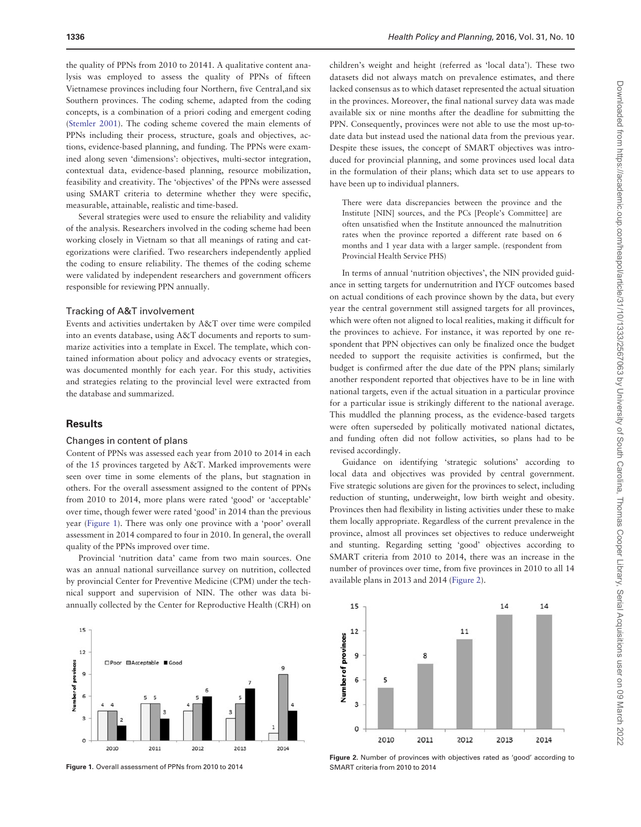the quality of PPNs from 2010 to 20141. A qualitative content analysis was employed to assess the quality of PPNs of fifteen Vietnamese provinces including four Northern, five Central,and six Southern provinces. The coding scheme, adapted from the coding concepts, is a combination of a priori coding and emergent coding ([Stemler 2001\)](#page-9-0). The coding scheme covered the main elements of PPNs including their process, structure, goals and objectives, actions, evidence-based planning, and funding. The PPNs were examined along seven 'dimensions': objectives, multi-sector integration, contextual data, evidence-based planning, resource mobilization, feasibility and creativity. The 'objectives' of the PPNs were assessed using SMART criteria to determine whether they were specific, measurable, attainable, realistic and time-based.

Several strategies were used to ensure the reliability and validity of the analysis. Researchers involved in the coding scheme had been working closely in Vietnam so that all meanings of rating and categorizations were clarified. Two researchers independently applied the coding to ensure reliability. The themes of the coding scheme were validated by independent researchers and government officers responsible for reviewing PPN annually.

### Tracking of A&T involvement

Events and activities undertaken by A&T over time were compiled into an events database, using A&T documents and reports to summarize activities into a template in Excel. The template, which contained information about policy and advocacy events or strategies, was documented monthly for each year. For this study, activities and strategies relating to the provincial level were extracted from the database and summarized.

# **Results**

#### Changes in content of plans

Content of PPNs was assessed each year from 2010 to 2014 in each of the 15 provinces targeted by A&T. Marked improvements were seen over time in some elements of the plans, but stagnation in others. For the overall assessment assigned to the content of PPNs from 2010 to 2014, more plans were rated 'good' or 'acceptable' over time, though fewer were rated 'good' in 2014 than the previous year (Figure 1). There was only one province with a 'poor' overall assessment in 2014 compared to four in 2010. In general, the overall quality of the PPNs improved over time.

Provincial 'nutrition data' came from two main sources. One was an annual national surveillance survey on nutrition, collected by provincial Center for Preventive Medicine (CPM) under the technical support and supervision of NIN. The other was data biannually collected by the Center for Reproductive Health (CRH) on



Figure 1. Overall assessment of PPNs from 2010 to 2014

children's weight and height (referred as 'local data'). These two datasets did not always match on prevalence estimates, and there lacked consensus as to which dataset represented the actual situation in the provinces. Moreover, the final national survey data was made available six or nine months after the deadline for submitting the PPN. Consequently, provinces were not able to use the most up-todate data but instead used the national data from the previous year. Despite these issues, the concept of SMART objectives was introduced for provincial planning, and some provinces used local data in the formulation of their plans; which data set to use appears to have been up to individual planners.

There were data discrepancies between the province and the Institute [NIN] sources, and the PCs [People's Committee] are often unsatisfied when the Institute announced the malnutrition rates when the province reported a different rate based on 6 months and 1 year data with a larger sample. (respondent from Provincial Health Service PHS)

In terms of annual 'nutrition objectives', the NIN provided guidance in setting targets for undernutrition and IYCF outcomes based on actual conditions of each province shown by the data, but every year the central government still assigned targets for all provinces, which were often not aligned to local realities, making it difficult for the provinces to achieve. For instance, it was reported by one respondent that PPN objectives can only be finalized once the budget needed to support the requisite activities is confirmed, but the budget is confirmed after the due date of the PPN plans; similarly another respondent reported that objectives have to be in line with national targets, even if the actual situation in a particular province for a particular issue is strikingly different to the national average. This muddled the planning process, as the evidence-based targets were often superseded by politically motivated national dictates, and funding often did not follow activities, so plans had to be revised accordingly.

Guidance on identifying 'strategic solutions' according to local data and objectives was provided by central government. Five strategic solutions are given for the provinces to select, including reduction of stunting, underweight, low birth weight and obesity. Provinces then had flexibility in listing activities under these to make them locally appropriate. Regardless of the current prevalence in the province, almost all provinces set objectives to reduce underweight and stunting. Regarding setting 'good' objectives according to SMART criteria from 2010 to 2014, there was an increase in the number of provinces over time, from five provinces in 2010 to all 14 available plans in 2013 and 2014 (Figure 2).



Figure 2. Number of provinces with objectives rated as 'good' according to SMART criteria from 2010 to 2014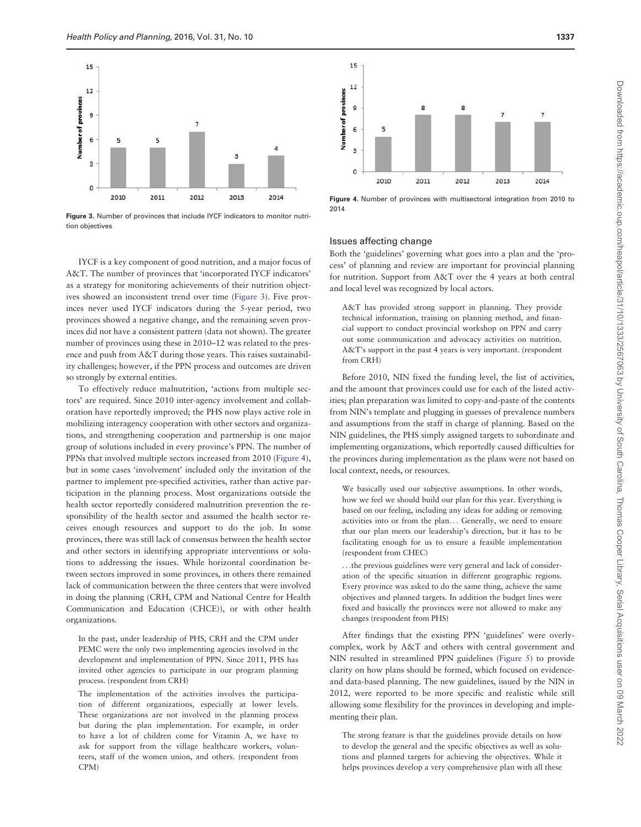

Figure 3. Number of provinces that include IYCF indicators to monitor nutrition objectives

IYCF is a key component of good nutrition, and a major focus of A&T. The number of provinces that 'incorporated IYCF indicators' as a strategy for monitoring achievements of their nutrition objectives showed an inconsistent trend over time (Figure 3). Five provinces never used IYCF indicators during the 5-year period, two provinces showed a negative change, and the remaining seven provinces did not have a consistent pattern (data not shown). The greater number of provinces using these in 2010–12 was related to the presence and push from A&T during those years. This raises sustainability challenges; however, if the PPN process and outcomes are driven so strongly by external entities.

To effectively reduce malnutrition, 'actions from multiple sectors' are required. Since 2010 inter-agency involvement and collaboration have reportedly improved; the PHS now plays active role in mobilizing interagency cooperation with other sectors and organizations, and strengthening cooperation and partnership is one major group of solutions included in every province's PPN. The number of PPNs that involved multiple sectors increased from 2010 (Figure 4), but in some cases 'involvement' included only the invitation of the partner to implement pre-specified activities, rather than active participation in the planning process. Most organizations outside the health sector reportedly considered malnutrition prevention the responsibility of the health sector and assumed the health sector receives enough resources and support to do the job. In some provinces, there was still lack of consensus between the health sector and other sectors in identifying appropriate interventions or solutions to addressing the issues. While horizontal coordination between sectors improved in some provinces, in others there remained lack of communication between the three centers that were involved in doing the planning (CRH, CPM and National Centre for Health Communication and Education (CHCE)), or with other health organizations.

In the past, under leadership of PHS, CRH and the CPM under PEMC were the only two implementing agencies involved in the development and implementation of PPN. Since 2011, PHS has invited other agencies to participate in our program planning process. (respondent from CRH)

The implementation of the activities involves the participation of different organizations, especially at lower levels. These organizations are not involved in the planning process but during the plan implementation. For example, in order to have a lot of children come for Vitamin A, we have to ask for support from the village healthcare workers, volunteers, staff of the women union, and others. (respondent from CPM)



Figure 4. Number of provinces with multisectoral integration from 2010 to 2014

# Issues affecting change

Both the 'guidelines' governing what goes into a plan and the 'process' of planning and review are important for provincial planning for nutrition. Support from A&T over the 4 years at both central and local level was recognized by local actors.

A&T has provided strong support in planning. They provide technical information, training on planning method, and financial support to conduct provincial workshop on PPN and carry out some communication and advocacy activities on nutrition. A&T's support in the past 4 years is very important. (respondent from CRH)

Before 2010, NIN fixed the funding level, the list of activities, and the amount that provinces could use for each of the listed activities; plan preparation was limited to copy-and-paste of the contents from NIN's template and plugging in guesses of prevalence numbers and assumptions from the staff in charge of planning. Based on the NIN guidelines, the PHS simply assigned targets to subordinate and implementing organizations, which reportedly caused difficulties for the provinces during implementation as the plans were not based on local context, needs, or resources.

We basically used our subjective assumptions. In other words, how we feel we should build our plan for this year. Everything is based on our feeling, including any ideas for adding or removing activities into or from the plan... Generally, we need to ensure that our plan meets our leadership's direction, but it has to be facilitating enough for us to ensure a feasible implementation (respondent from CHEC)

...the previous guidelines were very general and lack of consideration of the specific situation in different geographic regions. Every province was asked to do the same thing, achieve the same objectives and planned targets. In addition the budget lines were fixed and basically the provinces were not allowed to make any changes (respondent from PHS)

After findings that the existing PPN 'guidelines' were overlycomplex, work by A&T and others with central government and NIN resulted in streamlined PPN guidelines [\(Figure 5\)](#page-6-0) to provide clarity on how plans should be formed, which focused on evidenceand data-based planning. The new guidelines, issued by the NIN in 2012, were reported to be more specific and realistic while still allowing some flexibility for the provinces in developing and implementing their plan.

The strong feature is that the guidelines provide details on how to develop the general and the specific objectives as well as solutions and planned targets for achieving the objectives. While it helps provinces develop a very comprehensive plan with all these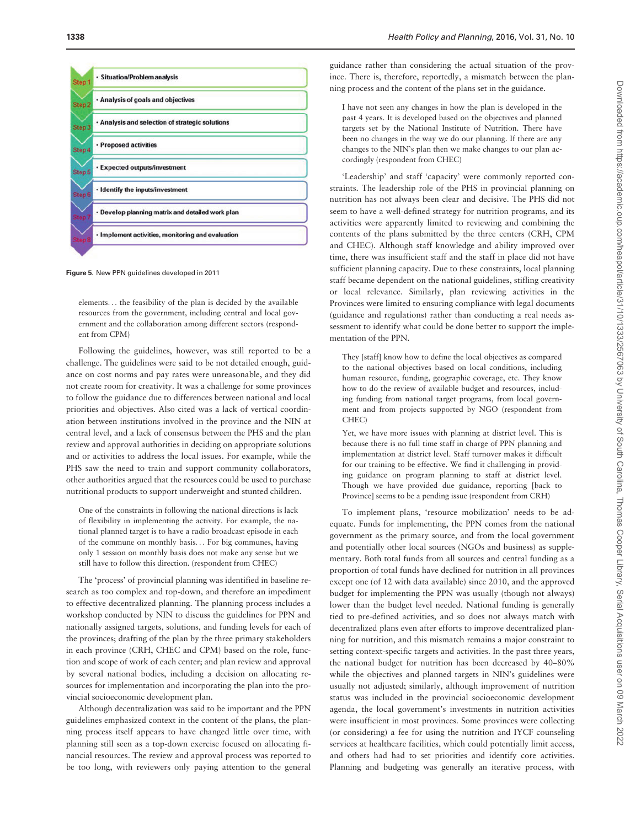<span id="page-6-0"></span>

Figure 5. New PPN guidelines developed in 2011

elements... the feasibility of the plan is decided by the available resources from the government, including central and local government and the collaboration among different sectors (respondent from CPM)

Following the guidelines, however, was still reported to be a challenge. The guidelines were said to be not detailed enough, guidance on cost norms and pay rates were unreasonable, and they did not create room for creativity. It was a challenge for some provinces to follow the guidance due to differences between national and local priorities and objectives. Also cited was a lack of vertical coordination between institutions involved in the province and the NIN at central level, and a lack of consensus between the PHS and the plan review and approval authorities in deciding on appropriate solutions and or activities to address the local issues. For example, while the PHS saw the need to train and support community collaborators, other authorities argued that the resources could be used to purchase nutritional products to support underweight and stunted children.

One of the constraints in following the national directions is lack of flexibility in implementing the activity. For example, the national planned target is to have a radio broadcast episode in each of the commune on monthly basis... For big communes, having only 1 session on monthly basis does not make any sense but we still have to follow this direction. (respondent from CHEC)

The 'process' of provincial planning was identified in baseline research as too complex and top-down, and therefore an impediment to effective decentralized planning. The planning process includes a workshop conducted by NIN to discuss the guidelines for PPN and nationally assigned targets, solutions, and funding levels for each of the provinces; drafting of the plan by the three primary stakeholders in each province (CRH, CHEC and CPM) based on the role, function and scope of work of each center; and plan review and approval by several national bodies, including a decision on allocating resources for implementation and incorporating the plan into the provincial socioeconomic development plan.

Although decentralization was said to be important and the PPN guidelines emphasized context in the content of the plans, the planning process itself appears to have changed little over time, with planning still seen as a top-down exercise focused on allocating financial resources. The review and approval process was reported to be too long, with reviewers only paying attention to the general guidance rather than considering the actual situation of the province. There is, therefore, reportedly, a mismatch between the planning process and the content of the plans set in the guidance.

I have not seen any changes in how the plan is developed in the past 4 years. It is developed based on the objectives and planned targets set by the National Institute of Nutrition. There have been no changes in the way we do our planning. If there are any changes to the NIN's plan then we make changes to our plan accordingly (respondent from CHEC)

'Leadership' and staff 'capacity' were commonly reported constraints. The leadership role of the PHS in provincial planning on nutrition has not always been clear and decisive. The PHS did not seem to have a well-defined strategy for nutrition programs, and its activities were apparently limited to reviewing and combining the contents of the plans submitted by the three centers (CRH, CPM and CHEC). Although staff knowledge and ability improved over time, there was insufficient staff and the staff in place did not have sufficient planning capacity. Due to these constraints, local planning staff became dependent on the national guidelines, stifling creativity or local relevance. Similarly, plan reviewing activities in the Provinces were limited to ensuring compliance with legal documents (guidance and regulations) rather than conducting a real needs assessment to identify what could be done better to support the implementation of the PPN.

They [staff] know how to define the local objectives as compared to the national objectives based on local conditions, including human resource, funding, geographic coverage, etc. They know how to do the review of available budget and resources, including funding from national target programs, from local government and from projects supported by NGO (respondent from CHEC)

Yet, we have more issues with planning at district level. This is because there is no full time staff in charge of PPN planning and implementation at district level. Staff turnover makes it difficult for our training to be effective. We find it challenging in providing guidance on program planning to staff at district level. Though we have provided due guidance, reporting [back to Province] seems to be a pending issue (respondent from CRH)

To implement plans, 'resource mobilization' needs to be adequate. Funds for implementing, the PPN comes from the national government as the primary source, and from the local government and potentially other local sources (NGOs and business) as supplementary. Both total funds from all sources and central funding as a proportion of total funds have declined for nutrition in all provinces except one (of 12 with data available) since 2010, and the approved budget for implementing the PPN was usually (though not always) lower than the budget level needed. National funding is generally tied to pre-defined activities, and so does not always match with decentralized plans even after efforts to improve decentralized planning for nutrition, and this mismatch remains a major constraint to setting context-specific targets and activities. In the past three years, the national budget for nutrition has been decreased by 40–80% while the objectives and planned targets in NIN's guidelines were usually not adjusted; similarly, although improvement of nutrition status was included in the provincial socioeconomic development agenda, the local government's investments in nutrition activities were insufficient in most provinces. Some provinces were collecting (or considering) a fee for using the nutrition and IYCF counseling services at healthcare facilities, which could potentially limit access, and others had had to set priorities and identify core activities. Planning and budgeting was generally an iterative process, with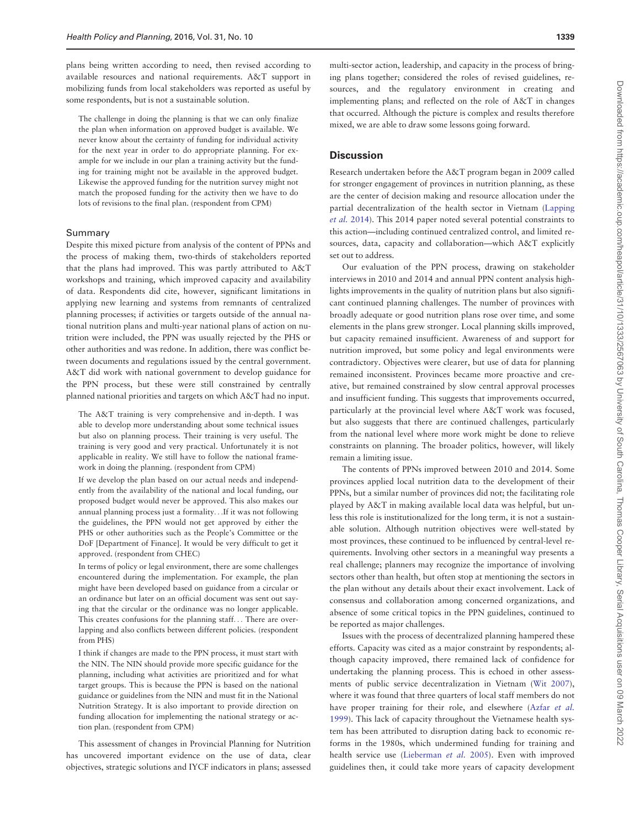plans being written according to need, then revised according to available resources and national requirements. A&T support in mobilizing funds from local stakeholders was reported as useful by some respondents, but is not a sustainable solution.

The challenge in doing the planning is that we can only finalize the plan when information on approved budget is available. We never know about the certainty of funding for individual activity for the next year in order to do appropriate planning. For example for we include in our plan a training activity but the funding for training might not be available in the approved budget. Likewise the approved funding for the nutrition survey might not match the proposed funding for the activity then we have to do lots of revisions to the final plan. (respondent from CPM)

# Summary

Despite this mixed picture from analysis of the content of PPNs and the process of making them, two-thirds of stakeholders reported that the plans had improved. This was partly attributed to A&T workshops and training, which improved capacity and availability of data. Respondents did cite, however, significant limitations in applying new learning and systems from remnants of centralized planning processes; if activities or targets outside of the annual national nutrition plans and multi-year national plans of action on nutrition were included, the PPN was usually rejected by the PHS or other authorities and was redone. In addition, there was conflict between documents and regulations issued by the central government. A&T did work with national government to develop guidance for the PPN process, but these were still constrained by centrally planned national priorities and targets on which A&T had no input.

The A&T training is very comprehensive and in-depth. I was able to develop more understanding about some technical issues but also on planning process. Their training is very useful. The training is very good and very practical. Unfortunately it is not applicable in reality. We still have to follow the national framework in doing the planning. (respondent from CPM)

If we develop the plan based on our actual needs and independently from the availability of the national and local funding, our proposed budget would never be approved. This also makes our annual planning process just a formality...If it was not following the guidelines, the PPN would not get approved by either the PHS or other authorities such as the People's Committee or the DoF [Department of Finance]. It would be very difficult to get it approved. (respondent from CHEC)

In terms of policy or legal environment, there are some challenges encountered during the implementation. For example, the plan might have been developed based on guidance from a circular or an ordinance but later on an official document was sent out saying that the circular or the ordinance was no longer applicable. This creates confusions for the planning staff... There are overlapping and also conflicts between different policies. (respondent from PHS)

I think if changes are made to the PPN process, it must start with the NIN. The NIN should provide more specific guidance for the planning, including what activities are prioritized and for what target groups. This is because the PPN is based on the national guidance or guidelines from the NIN and must fit in the National Nutrition Strategy. It is also important to provide direction on funding allocation for implementing the national strategy or action plan. (respondent from CPM)

This assessment of changes in Provincial Planning for Nutrition has uncovered important evidence on the use of data, clear objectives, strategic solutions and IYCF indicators in plans; assessed Downloaded from https://academic.oup.com/heapol/article/31/10/1333/2567063 by University of South Carolina, Thomas Cooper Library, Serial Acquisitions user on 09 March 2022 Downloaded from https://academic.oup.com/heapol/article/31/10/1333/2567063 by University of South Carolina, Thomas Cooper Library, Serial Acquisitions user on 09 March 2022

multi-sector action, leadership, and capacity in the process of bringing plans together; considered the roles of revised guidelines, resources, and the regulatory environment in creating and implementing plans; and reflected on the role of A&T in changes that occurred. Although the picture is complex and results therefore mixed, we are able to draw some lessons going forward.

# **Discussion**

Research undertaken before the A&T program began in 2009 called for stronger engagement of provinces in nutrition planning, as these are the center of decision making and resource allocation under the partial decentralization of the health sector in Vietnam ([Lapping](#page-9-0) et al. [2014\)](#page-9-0). This 2014 paper noted several potential constraints to this action—including continued centralized control, and limited resources, data, capacity and collaboration—which A&T explicitly set out to address.

Our evaluation of the PPN process, drawing on stakeholder interviews in 2010 and 2014 and annual PPN content analysis highlights improvements in the quality of nutrition plans but also significant continued planning challenges. The number of provinces with broadly adequate or good nutrition plans rose over time, and some elements in the plans grew stronger. Local planning skills improved, but capacity remained insufficient. Awareness of and support for nutrition improved, but some policy and legal environments were contradictory. Objectives were clearer, but use of data for planning remained inconsistent. Provinces became more proactive and creative, but remained constrained by slow central approval processes and insufficient funding. This suggests that improvements occurred, particularly at the provincial level where A&T work was focused, but also suggests that there are continued challenges, particularly from the national level where more work might be done to relieve constraints on planning. The broader politics, however, will likely remain a limiting issue.

The contents of PPNs improved between 2010 and 2014. Some provinces applied local nutrition data to the development of their PPNs, but a similar number of provinces did not; the facilitating role played by A&T in making available local data was helpful, but unless this role is institutionalized for the long term, it is not a sustainable solution. Although nutrition objectives were well-stated by most provinces, these continued to be influenced by central-level requirements. Involving other sectors in a meaningful way presents a real challenge; planners may recognize the importance of involving sectors other than health, but often stop at mentioning the sectors in the plan without any details about their exact involvement. Lack of consensus and collaboration among concerned organizations, and absence of some critical topics in the PPN guidelines, continued to be reported as major challenges.

Issues with the process of decentralized planning hampered these efforts. Capacity was cited as a major constraint by respondents; although capacity improved, there remained lack of confidence for undertaking the planning process. This is echoed in other assessments of public service decentralization in Vietnam ([Wit 2007](#page-9-0)), where it was found that three quarters of local staff members do not have proper training for their role, and elsewhere (Azfar [et al.](#page-9-0) [1999\)](#page-9-0). This lack of capacity throughout the Vietnamese health system has been attributed to disruption dating back to economic reforms in the 1980s, which undermined funding for training and health service use [\(Lieberman](#page-9-0) et al. 2005). Even with improved guidelines then, it could take more years of capacity development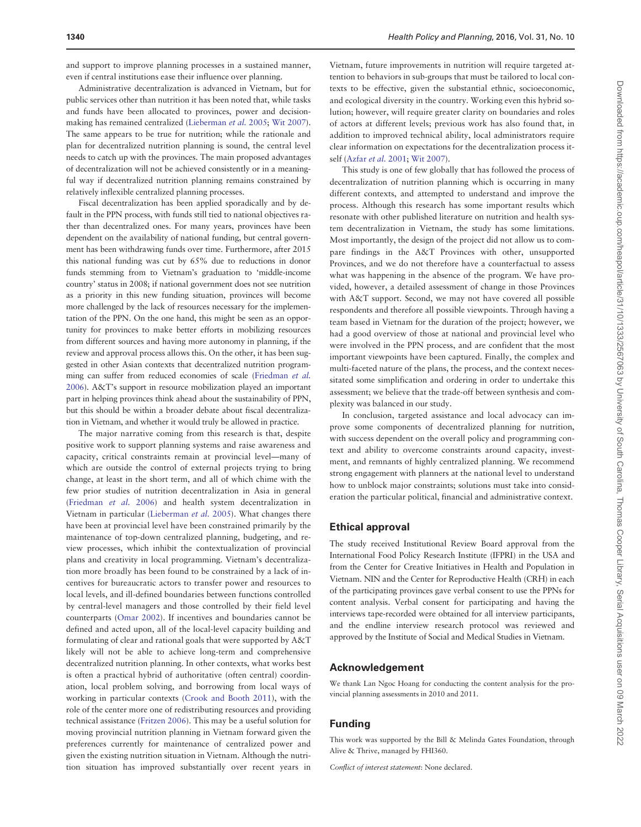and support to improve planning processes in a sustained manner, even if central institutions ease their influence over planning.

Administrative decentralization is advanced in Vietnam, but for public services other than nutrition it has been noted that, while tasks and funds have been allocated to provinces, power and decisionmaking has remained centralized [\(Lieberman](#page-9-0) et al. 2005; [Wit 2007](#page-9-0)). The same appears to be true for nutrition; while the rationale and plan for decentralized nutrition planning is sound, the central level needs to catch up with the provinces. The main proposed advantages of decentralization will not be achieved consistently or in a meaningful way if decentralized nutrition planning remains constrained by relatively inflexible centralized planning processes.

Fiscal decentralization has been applied sporadically and by default in the PPN process, with funds still tied to national objectives rather than decentralized ones. For many years, provinces have been dependent on the availability of national funding, but central government has been withdrawing funds over time. Furthermore, after 2015 this national funding was cut by 65% due to reductions in donor funds stemming from to Vietnam's graduation to 'middle-income country' status in 2008; if national government does not see nutrition as a priority in this new funding situation, provinces will become more challenged by the lack of resources necessary for the implementation of the PPN. On the one hand, this might be seen as an opportunity for provinces to make better efforts in mobilizing resources from different sources and having more autonomy in planning, if the review and approval process allows this. On the other, it has been suggested in other Asian contexts that decentralized nutrition programming can suffer from reduced economies of scale [\(Friedman](#page-9-0) et al. [2006](#page-9-0)). A&T's support in resource mobilization played an important part in helping provinces think ahead about the sustainability of PPN, but this should be within a broader debate about fiscal decentralization in Vietnam, and whether it would truly be allowed in practice.

The major narrative coming from this research is that, despite positive work to support planning systems and raise awareness and capacity, critical constraints remain at provincial level—many of which are outside the control of external projects trying to bring change, at least in the short term, and all of which chime with the few prior studies of nutrition decentralization in Asia in general ([Friedman](#page-9-0) et al. 2006) and health system decentralization in Vietnam in particular [\(Lieberman](#page-9-0) et al. 2005). What changes there have been at provincial level have been constrained primarily by the maintenance of top-down centralized planning, budgeting, and review processes, which inhibit the contextualization of provincial plans and creativity in local programming. Vietnam's decentralization more broadly has been found to be constrained by a lack of incentives for bureaucratic actors to transfer power and resources to local levels, and ill-defined boundaries between functions controlled by central-level managers and those controlled by their field level counterparts [\(Omar 2002](#page-9-0)). If incentives and boundaries cannot be defined and acted upon, all of the local-level capacity building and formulating of clear and rational goals that were supported by A&T likely will not be able to achieve long-term and comprehensive decentralized nutrition planning. In other contexts, what works best is often a practical hybrid of authoritative (often central) coordination, local problem solving, and borrowing from local ways of working in particular contexts ([Crook and Booth 2011\)](#page-9-0), with the role of the center more one of redistributing resources and providing technical assistance [\(Fritzen 2006\)](#page-9-0). This may be a useful solution for moving provincial nutrition planning in Vietnam forward given the preferences currently for maintenance of centralized power and given the existing nutrition situation in Vietnam. Although the nutrition situation has improved substantially over recent years in

Vietnam, future improvements in nutrition will require targeted attention to behaviors in sub-groups that must be tailored to local contexts to be effective, given the substantial ethnic, socioeconomic, and ecological diversity in the country. Working even this hybrid solution; however, will require greater clarity on boundaries and roles of actors at different levels; previous work has also found that, in addition to improved technical ability, local administrators require clear information on expectations for the decentralization process itself [\(Azfar](#page-9-0) et al. 2001; [Wit 2007](#page-9-0)).

This study is one of few globally that has followed the process of decentralization of nutrition planning which is occurring in many different contexts, and attempted to understand and improve the process. Although this research has some important results which resonate with other published literature on nutrition and health system decentralization in Vietnam, the study has some limitations. Most importantly, the design of the project did not allow us to compare findings in the A&T Provinces with other, unsupported Provinces, and we do not therefore have a counterfactual to assess what was happening in the absence of the program. We have provided, however, a detailed assessment of change in those Provinces with A&T support. Second, we may not have covered all possible respondents and therefore all possible viewpoints. Through having a team based in Vietnam for the duration of the project; however, we had a good overview of those at national and provincial level who were involved in the PPN process, and are confident that the most important viewpoints have been captured. Finally, the complex and multi-faceted nature of the plans, the process, and the context necessitated some simplification and ordering in order to undertake this assessment; we believe that the trade-off between synthesis and complexity was balanced in our study.

In conclusion, targeted assistance and local advocacy can improve some components of decentralized planning for nutrition, with success dependent on the overall policy and programming context and ability to overcome constraints around capacity, investment, and remnants of highly centralized planning. We recommend strong engagement with planners at the national level to understand how to unblock major constraints; solutions must take into consideration the particular political, financial and administrative context.

# Ethical approval

The study received Institutional Review Board approval from the International Food Policy Research Institute (IFPRI) in the USA and from the Center for Creative Initiatives in Health and Population in Vietnam. NIN and the Center for Reproductive Health (CRH) in each of the participating provinces gave verbal consent to use the PPNs for content analysis. Verbal consent for participating and having the interviews tape-recorded were obtained for all interview participants, and the endline interview research protocol was reviewed and approved by the Institute of Social and Medical Studies in Vietnam.

# Acknowledgement

We thank Lan Ngoc Hoang for conducting the content analysis for the provincial planning assessments in 2010 and 2011.

# Funding

This work was supported by the Bill & Melinda Gates Foundation, through Alive & Thrive, managed by FHI360.

Conflict of interest statement: None declared.